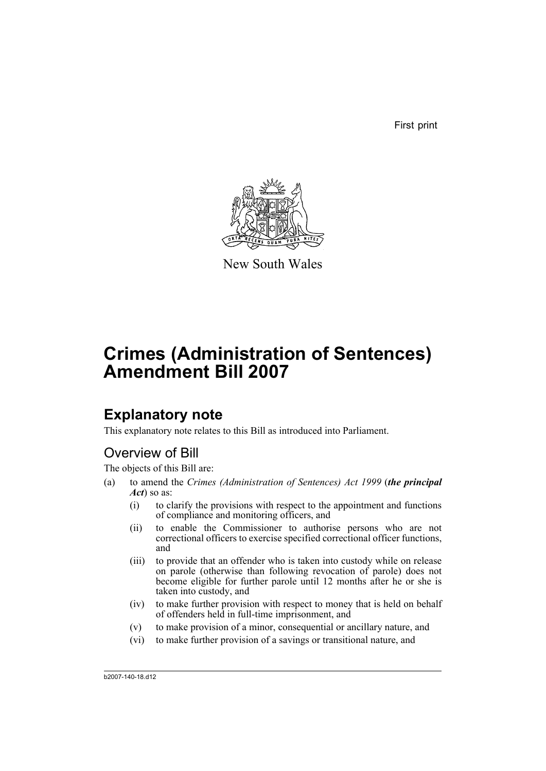First print



New South Wales

# **Crimes (Administration of Sentences) Amendment Bill 2007**

## **Explanatory note**

This explanatory note relates to this Bill as introduced into Parliament.

## Overview of Bill

The objects of this Bill are:

- (a) to amend the *Crimes (Administration of Sentences) Act 1999* (*the principal Act*) so as:
	- (i) to clarify the provisions with respect to the appointment and functions of compliance and monitoring officers, and
	- (ii) to enable the Commissioner to authorise persons who are not correctional officers to exercise specified correctional officer functions, and
	- (iii) to provide that an offender who is taken into custody while on release on parole (otherwise than following revocation of parole) does not become eligible for further parole until 12 months after he or she is taken into custody, and
	- (iv) to make further provision with respect to money that is held on behalf of offenders held in full-time imprisonment, and
	- (v) to make provision of a minor, consequential or ancillary nature, and
	- (vi) to make further provision of a savings or transitional nature, and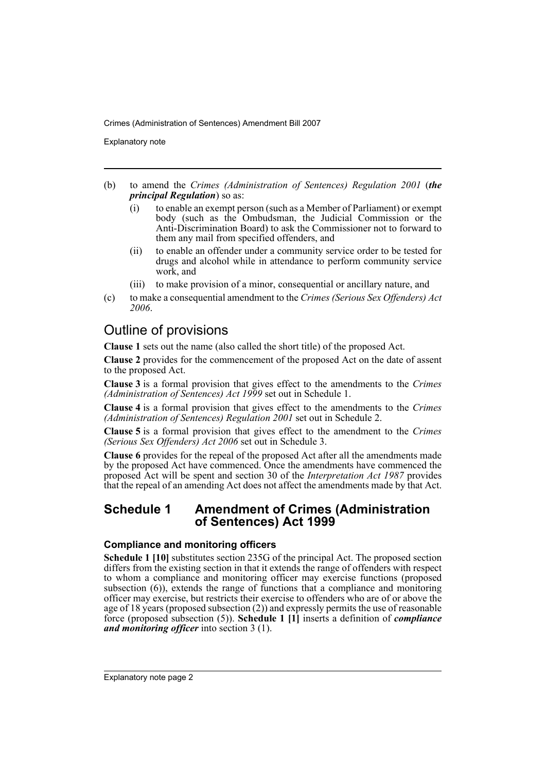Explanatory note

- (b) to amend the *Crimes (Administration of Sentences) Regulation 2001* (*the principal Regulation*) so as:
	- (i) to enable an exempt person (such as a Member of Parliament) or exempt body (such as the Ombudsman, the Judicial Commission or the Anti-Discrimination Board) to ask the Commissioner not to forward to them any mail from specified offenders, and
	- (ii) to enable an offender under a community service order to be tested for drugs and alcohol while in attendance to perform community service work, and
	- (iii) to make provision of a minor, consequential or ancillary nature, and
- (c) to make a consequential amendment to the *Crimes (Serious Sex Offenders) Act 2006*.

## Outline of provisions

**Clause 1** sets out the name (also called the short title) of the proposed Act.

**Clause 2** provides for the commencement of the proposed Act on the date of assent to the proposed Act.

**Clause 3** is a formal provision that gives effect to the amendments to the *Crimes (Administration of Sentences) Act 1999* set out in Schedule 1.

**Clause 4** is a formal provision that gives effect to the amendments to the *Crimes (Administration of Sentences) Regulation 2001* set out in Schedule 2.

**Clause 5** is a formal provision that gives effect to the amendment to the *Crimes (Serious Sex Offenders) Act 2006* set out in Schedule 3.

**Clause 6** provides for the repeal of the proposed Act after all the amendments made by the proposed Act have commenced. Once the amendments have commenced the proposed Act will be spent and section 30 of the *Interpretation Act 1987* provides that the repeal of an amending Act does not affect the amendments made by that Act.

## **Schedule 1 Amendment of Crimes (Administration of Sentences) Act 1999**

### **Compliance and monitoring officers**

**Schedule 1 [10]** substitutes section 235G of the principal Act. The proposed section differs from the existing section in that it extends the range of offenders with respect to whom a compliance and monitoring officer may exercise functions (proposed subsection (6)), extends the range of functions that a compliance and monitoring officer may exercise, but restricts their exercise to offenders who are of or above the age of 18 years (proposed subsection (2)) and expressly permits the use of reasonable force (proposed subsection (5)). **Schedule 1 [1]** inserts a definition of *compliance and monitoring officer* into section 3 (1).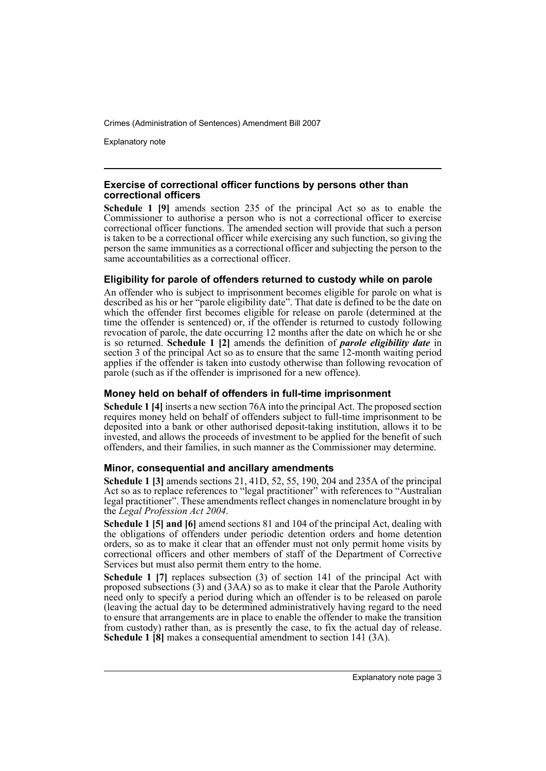Explanatory note

#### **Exercise of correctional officer functions by persons other than correctional officers**

**Schedule 1 [9]** amends section 235 of the principal Act so as to enable the Commissioner to authorise a person who is not a correctional officer to exercise correctional officer functions. The amended section will provide that such a person is taken to be a correctional officer while exercising any such function, so giving the person the same immunities as a correctional officer and subjecting the person to the same accountabilities as a correctional officer.

### **Eligibility for parole of offenders returned to custody while on parole**

An offender who is subject to imprisonment becomes eligible for parole on what is described as his or her "parole eligibility date". That date is defined to be the date on which the offender first becomes eligible for release on parole (determined at the time the offender is sentenced) or, if the offender is returned to custody following revocation of parole, the date occurring 12 months after the date on which he or she is so returned. **Schedule 1 [2]** amends the definition of *parole eligibility date* in section 3 of the principal Act so as to ensure that the same 12-month waiting period applies if the offender is taken into custody otherwise than following revocation of parole (such as if the offender is imprisoned for a new offence).

### **Money held on behalf of offenders in full-time imprisonment**

**Schedule 1 [4]** inserts a new section 76A into the principal Act. The proposed section requires money held on behalf of offenders subject to full-time imprisonment to be deposited into a bank or other authorised deposit-taking institution, allows it to be invested, and allows the proceeds of investment to be applied for the benefit of such offenders, and their families, in such manner as the Commissioner may determine.

### **Minor, consequential and ancillary amendments**

**Schedule 1 [3]** amends sections 21, 41D, 52, 55, 190, 204 and 235A of the principal Act so as to replace references to "legal practitioner" with references to "Australian legal practitioner". These amendments reflect changes in nomenclature brought in by the *Legal Profession Act 2004*.

**Schedule 1 [5] and [6]** amend sections 81 and 104 of the principal Act, dealing with the obligations of offenders under periodic detention orders and home detention orders, so as to make it clear that an offender must not only permit home visits by correctional officers and other members of staff of the Department of Corrective Services but must also permit them entry to the home.

**Schedule 1 [7]** replaces subsection (3) of section 141 of the principal Act with proposed subsections (3) and (3AA) so as to make it clear that the Parole Authority need only to specify a period during which an offender is to be released on parole (leaving the actual day to be determined administratively having regard to the need to ensure that arrangements are in place to enable the offender to make the transition from custody) rather than, as is presently the case, to fix the actual day of release. **Schedule 1 [8]** makes a consequential amendment to section 141 (3A).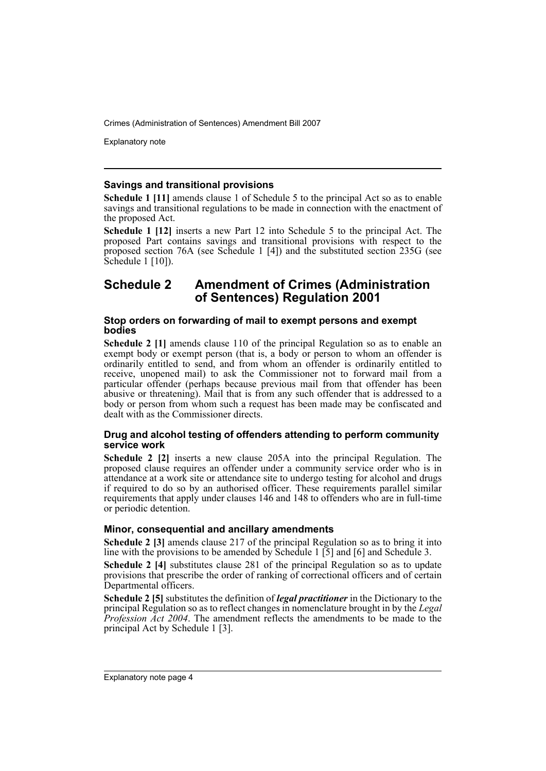Explanatory note

#### **Savings and transitional provisions**

**Schedule 1 [11]** amends clause 1 of Schedule 5 to the principal Act so as to enable savings and transitional regulations to be made in connection with the enactment of the proposed Act.

**Schedule 1 [12]** inserts a new Part 12 into Schedule 5 to the principal Act. The proposed Part contains savings and transitional provisions with respect to the proposed section 76A (see Schedule 1 [4]) and the substituted section 235G (see Schedule 1 [10]).

### **Schedule 2 Amendment of Crimes (Administration of Sentences) Regulation 2001**

#### **Stop orders on forwarding of mail to exempt persons and exempt bodies**

**Schedule 2 [1]** amends clause 110 of the principal Regulation so as to enable an exempt body or exempt person (that is, a body or person to whom an offender is ordinarily entitled to send, and from whom an offender is ordinarily entitled to receive, unopened mail) to ask the Commissioner not to forward mail from a particular offender (perhaps because previous mail from that offender has been abusive or threatening). Mail that is from any such offender that is addressed to a body or person from whom such a request has been made may be confiscated and dealt with as the Commissioner directs.

#### **Drug and alcohol testing of offenders attending to perform community service work**

**Schedule 2 [2]** inserts a new clause 205A into the principal Regulation. The proposed clause requires an offender under a community service order who is in attendance at a work site or attendance site to undergo testing for alcohol and drugs if required to do so by an authorised officer. These requirements parallel similar requirements that apply under clauses 146 and 148 to offenders who are in full-time or periodic detention.

#### **Minor, consequential and ancillary amendments**

**Schedule 2 [3]** amends clause 217 of the principal Regulation so as to bring it into line with the provisions to be amended by Schedule 1 [5] and [6] and Schedule 3.

**Schedule 2 [4]** substitutes clause 281 of the principal Regulation so as to update provisions that prescribe the order of ranking of correctional officers and of certain Departmental officers.

**Schedule 2 [5]** substitutes the definition of *legal practitioner* in the Dictionary to the principal Regulation so as to reflect changes in nomenclature brought in by the *Legal Profession Act 2004*. The amendment reflects the amendments to be made to the principal Act by Schedule 1 [3].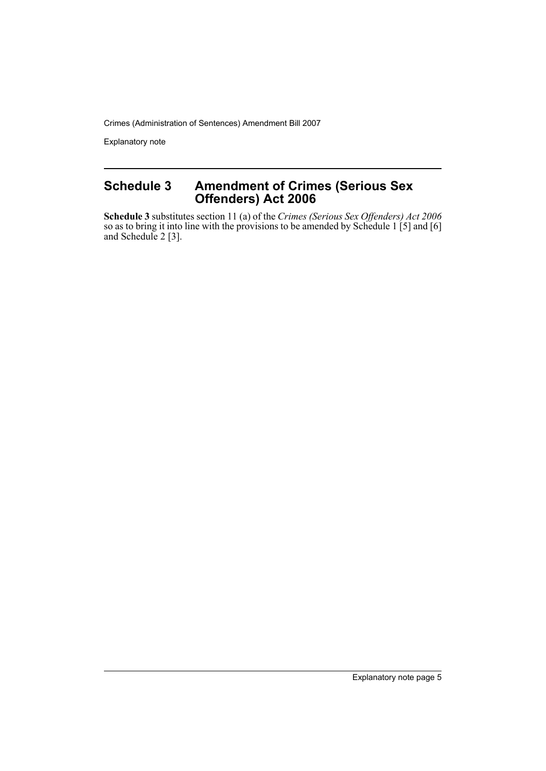Explanatory note

## **Schedule 3 Amendment of Crimes (Serious Sex Offenders) Act 2006**

**Schedule 3** substitutes section 11 (a) of the *Crimes (Serious Sex Offenders) Act 2006* so as to bring it into line with the provisions to be amended by Schedule 1 [5] and [6] and Schedule 2 [3].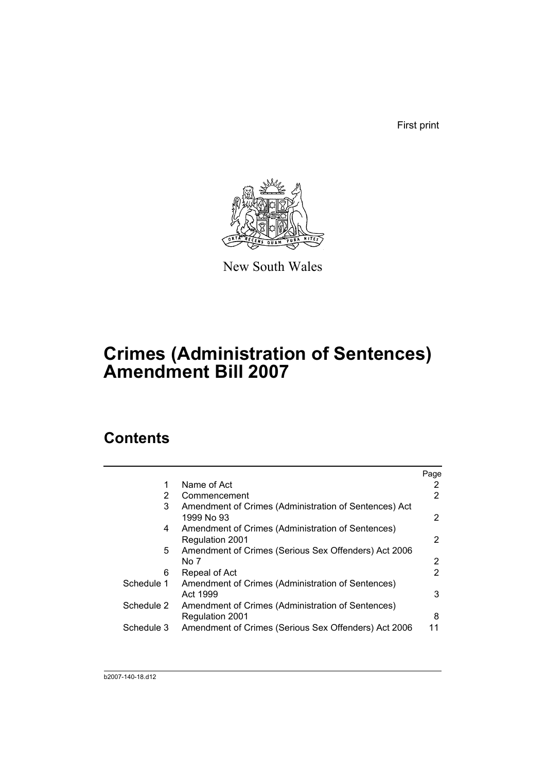First print



New South Wales

## **Crimes (Administration of Sentences) Amendment Bill 2007**

## **Contents**

|            |                                                                             | Page |
|------------|-----------------------------------------------------------------------------|------|
| 1          | Name of Act                                                                 | 2    |
| 2          | Commencement                                                                | 2    |
| 3          | Amendment of Crimes (Administration of Sentences) Act<br>1999 No 93         | 2    |
| 4          | Amendment of Crimes (Administration of Sentences)<br><b>Regulation 2001</b> | 2    |
| 5          | Amendment of Crimes (Serious Sex Offenders) Act 2006<br>No 7                | 2    |
| 6          | Repeal of Act                                                               | 2    |
| Schedule 1 | Amendment of Crimes (Administration of Sentences)<br>Act 1999               | 3    |
| Schedule 2 | Amendment of Crimes (Administration of Sentences)<br><b>Regulation 2001</b> | 8    |
| Schedule 3 | Amendment of Crimes (Serious Sex Offenders) Act 2006                        | 11   |
|            |                                                                             |      |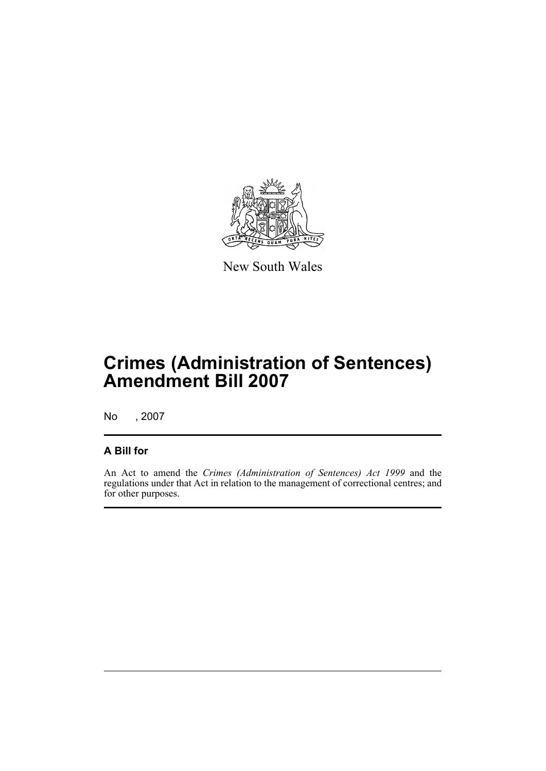

New South Wales

## **Crimes (Administration of Sentences) Amendment Bill 2007**

No , 2007

### **A Bill for**

An Act to amend the *Crimes (Administration of Sentences) Act 1999* and the regulations under that Act in relation to the management of correctional centres; and for other purposes.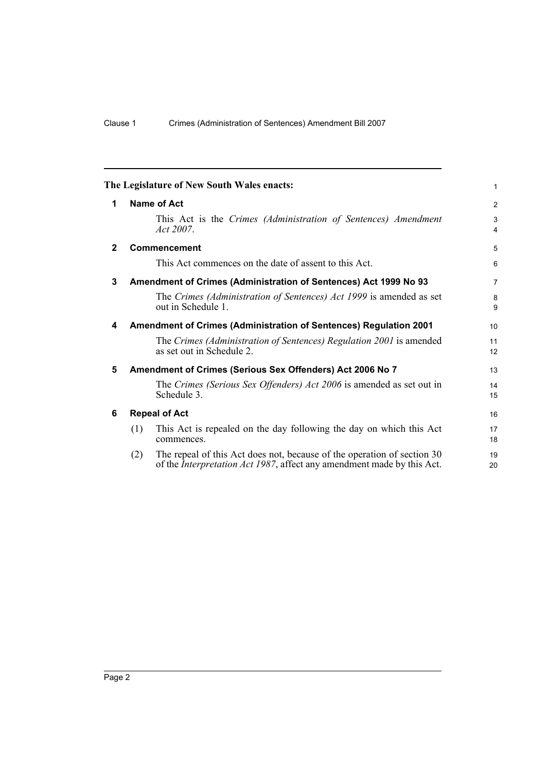<span id="page-9-5"></span><span id="page-9-4"></span><span id="page-9-3"></span><span id="page-9-2"></span><span id="page-9-1"></span><span id="page-9-0"></span>

|              | The Legislature of New South Wales enacts:                                                                                                                       | $\mathbf{1}$        |
|--------------|------------------------------------------------------------------------------------------------------------------------------------------------------------------|---------------------|
| 1            | Name of Act                                                                                                                                                      | $\overline{2}$      |
|              | This Act is the Crimes (Administration of Sentences) Amendment<br>Act 2007.                                                                                      | 3<br>$\overline{4}$ |
| $\mathbf{2}$ | <b>Commencement</b>                                                                                                                                              | 5                   |
|              | This Act commences on the date of assent to this Act.                                                                                                            | 6                   |
| 3            | Amendment of Crimes (Administration of Sentences) Act 1999 No 93                                                                                                 | $\overline{7}$      |
|              | The Crimes (Administration of Sentences) Act 1999 is amended as set<br>out in Schedule 1.                                                                        | 8<br>9              |
| 4            | <b>Amendment of Crimes (Administration of Sentences) Regulation 2001</b>                                                                                         | 10                  |
|              | The Crimes (Administration of Sentences) Regulation 2001 is amended<br>as set out in Schedule 2.                                                                 | 11<br>12            |
| 5            | Amendment of Crimes (Serious Sex Offenders) Act 2006 No 7                                                                                                        | 13                  |
|              | The Crimes (Serious Sex Offenders) Act 2006 is amended as set out in<br>Schedule 3.                                                                              | 14<br>15            |
| 6            | <b>Repeal of Act</b>                                                                                                                                             | 16                  |
|              | (1)<br>This Act is repealed on the day following the day on which this Act<br>commences.                                                                         | 17<br>18            |
|              | The repeal of this Act does not, because of the operation of section 30<br>(2)<br>of the <i>Interpretation Act 1987</i> , affect any amendment made by this Act. | 19<br>20            |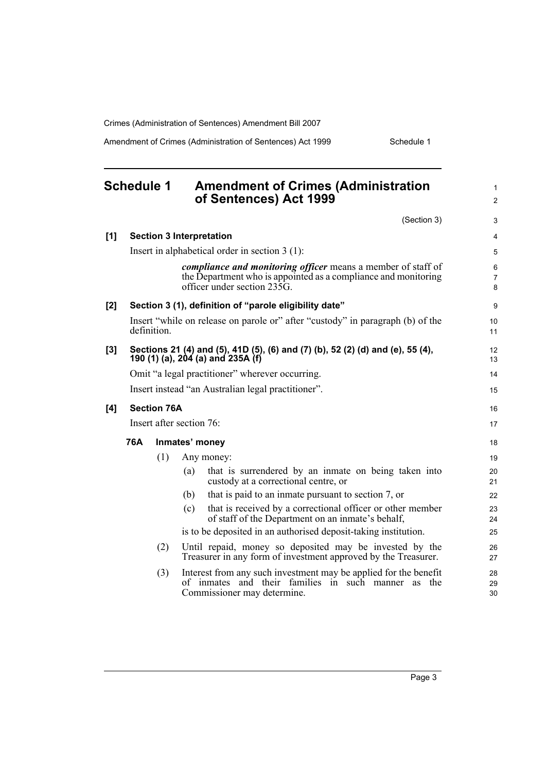Amendment of Crimes (Administration of Sentences) Act 1999 Schedule 1

<span id="page-10-0"></span>

|       | <b>Schedule 1</b> |                    | <b>Amendment of Crimes (Administration</b><br>of Sentences) Act 1999                                                                                                                          | $\mathbf{1}$<br>2              |
|-------|-------------------|--------------------|-----------------------------------------------------------------------------------------------------------------------------------------------------------------------------------------------|--------------------------------|
|       |                   |                    | (Section 3)                                                                                                                                                                                   | 3                              |
| [1]   |                   |                    | <b>Section 3 Interpretation</b>                                                                                                                                                               | 4                              |
|       |                   |                    | Insert in alphabetical order in section $3(1)$ :                                                                                                                                              | 5                              |
|       |                   |                    | <i>compliance and monitoring officer</i> means a member of staff of<br>the Department who is appointed as a compliance and monitoring<br>officer under section $23\overline{5}\overline{G}$ . | $\,6\,$<br>$\overline{7}$<br>8 |
| [2]   |                   |                    | Section 3 (1), definition of "parole eligibility date"                                                                                                                                        | 9                              |
|       | definition.       |                    | Insert "while on release on parole or" after "custody" in paragraph (b) of the                                                                                                                | 10<br>11                       |
| $[3]$ |                   |                    | Sections 21 (4) and (5), 41D (5), (6) and (7) (b), 52 (2) (d) and (e), 55 (4),<br>190 (1) (a), 204 (a) and 235A (f)                                                                           | 12<br>13                       |
|       |                   |                    | Omit "a legal practitioner" wherever occurring.                                                                                                                                               | 14                             |
|       |                   |                    | Insert instead "an Australian legal practitioner".                                                                                                                                            | 15                             |
| [4]   |                   | <b>Section 76A</b> |                                                                                                                                                                                               | 16                             |
|       |                   |                    | Insert after section 76:                                                                                                                                                                      | 17                             |
|       | 76A               |                    | Inmates' money                                                                                                                                                                                | 18                             |
|       |                   | (1)                | Any money:                                                                                                                                                                                    | 19                             |
|       |                   |                    | that is surrendered by an inmate on being taken into<br>(a)<br>custody at a correctional centre, or                                                                                           | 20<br>21                       |
|       |                   |                    | that is paid to an inmate pursuant to section 7, or<br>(b)                                                                                                                                    | 22                             |
|       |                   |                    | that is received by a correctional officer or other member<br>(c)<br>of staff of the Department on an inmate's behalf,                                                                        | 23<br>24                       |
|       |                   |                    | is to be deposited in an authorised deposit-taking institution.                                                                                                                               | 25                             |
|       |                   | (2)                | Until repaid, money so deposited may be invested by the<br>Treasurer in any form of investment approved by the Treasurer.                                                                     | 26<br>27                       |
|       |                   | (3)                | Interest from any such investment may be applied for the benefit<br>of inmates and their families in such manner as<br>the<br>Commissioner may determine.                                     | 28<br>29<br>30                 |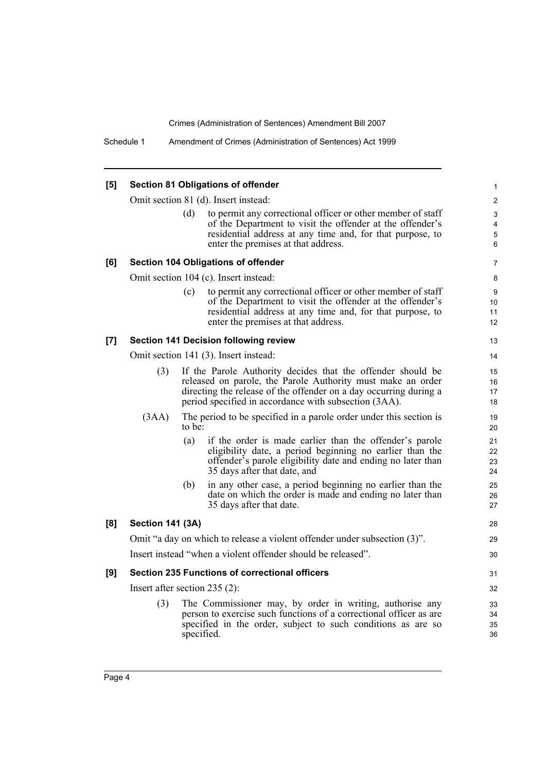| [5] |                                 |        | <b>Section 81 Obligations of offender</b>                                                                                                                                                                                                                | 1                       |
|-----|---------------------------------|--------|----------------------------------------------------------------------------------------------------------------------------------------------------------------------------------------------------------------------------------------------------------|-------------------------|
|     |                                 |        | Omit section 81 (d). Insert instead:                                                                                                                                                                                                                     | $\overline{\mathbf{c}}$ |
|     |                                 | (d)    | to permit any correctional officer or other member of staff<br>of the Department to visit the offender at the offender's<br>residential address at any time and, for that purpose, to<br>enter the premises at that address.                             | 3<br>4<br>5<br>6        |
| [6] |                                 |        | <b>Section 104 Obligations of offender</b>                                                                                                                                                                                                               | 7                       |
|     |                                 |        | Omit section 104 (c). Insert instead:                                                                                                                                                                                                                    | 8                       |
|     |                                 | (c)    | to permit any correctional officer or other member of staff<br>of the Department to visit the offender at the offender's<br>residential address at any time and, for that purpose, to<br>enter the premises at that address.                             | 9<br>10<br>11<br>12     |
| [7] |                                 |        | <b>Section 141 Decision following review</b>                                                                                                                                                                                                             | 13                      |
|     |                                 |        | Omit section 141 (3). Insert instead:                                                                                                                                                                                                                    | 14                      |
|     | (3)                             |        | If the Parole Authority decides that the offender should be<br>released on parole, the Parole Authority must make an order<br>directing the release of the offender on a day occurring during a<br>period specified in accordance with subsection (3AA). | 15<br>16<br>17<br>18    |
|     | (3AA)                           | to be: | The period to be specified in a parole order under this section is                                                                                                                                                                                       | 19<br>20                |
|     |                                 | (a)    | if the order is made earlier than the offender's parole<br>eligibility date, a period beginning no earlier than the<br>offender's parole eligibility date and ending no later than<br>35 days after that date, and                                       | 21<br>22<br>23<br>24    |
|     |                                 | (b)    | in any other case, a period beginning no earlier than the<br>date on which the order is made and ending no later than<br>35 days after that date.                                                                                                        | 25<br>26<br>27          |
| [8] | <b>Section 141 (3A)</b>         |        |                                                                                                                                                                                                                                                          | 28                      |
|     |                                 |        | Omit "a day on which to release a violent offender under subsection (3)".                                                                                                                                                                                | 29                      |
|     |                                 |        | Insert instead "when a violent offender should be released".                                                                                                                                                                                             | 30                      |
| [9] |                                 |        | <b>Section 235 Functions of correctional officers</b>                                                                                                                                                                                                    | 31                      |
|     | Insert after section $235(2)$ : |        |                                                                                                                                                                                                                                                          | 32                      |
|     | (3)                             |        | The Commissioner may, by order in writing, authorise any<br>person to exercise such functions of a correctional officer as are<br>specified in the order, subject to such conditions as are so<br>specified.                                             | 33<br>34<br>35<br>36    |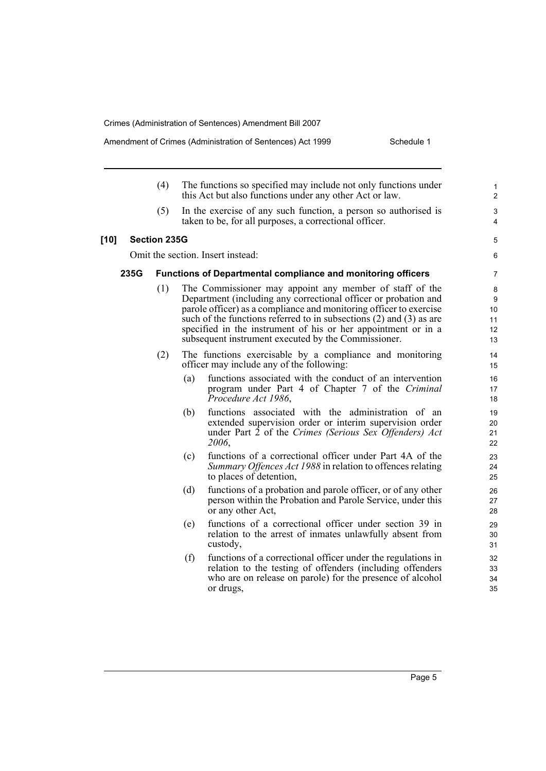- (4) The functions so specified may include not only functions under this Act but also functions under any other Act or law. (5) In the exercise of any such function, a person so authorised is taken to be, for all purposes, a correctional officer. **[10] Section 235G** Omit the section. Insert instead: **235G Functions of Departmental compliance and monitoring officers** (1) The Commissioner may appoint any member of staff of the Department (including any correctional officer or probation and parole officer) as a compliance and monitoring officer to exercise such of the functions referred to in subsections (2) and (3) as are specified in the instrument of his or her appointment or in a subsequent instrument executed by the Commissioner. (2) The functions exercisable by a compliance and monitoring officer may include any of the following: (a) functions associated with the conduct of an intervention program under Part 4 of Chapter 7 of the *Criminal Procedure Act 1986*, (b) functions associated with the administration of an extended supervision order or interim supervision order under Part 2 of the *Crimes (Serious Sex Offenders) Act 2006*, (c) functions of a correctional officer under Part 4A of the *Summary Offences Act 1988* in relation to offences relating to places of detention, (d) functions of a probation and parole officer, or of any other
	- person within the Probation and Parole Service, under this or any other Act,
	- (e) functions of a correctional officer under section 39 in relation to the arrest of inmates unlawfully absent from custody,
	- (f) functions of a correctional officer under the regulations in relation to the testing of offenders (including offenders who are on release on parole) for the presence of alcohol or drugs,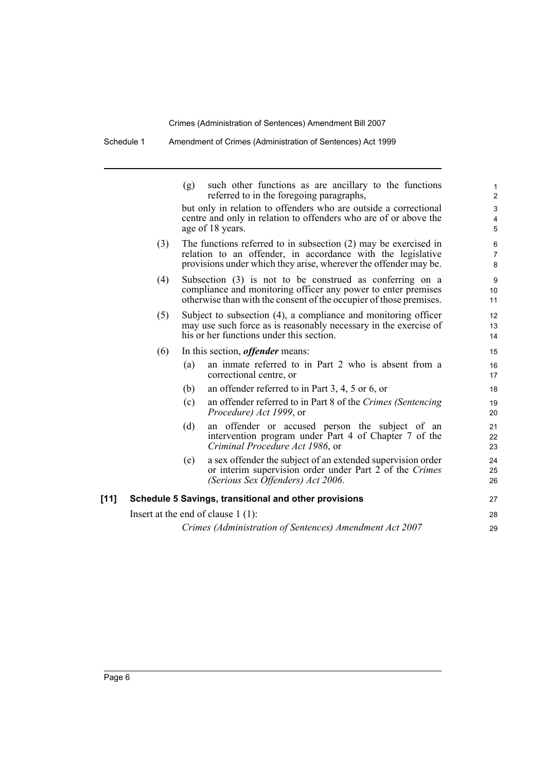|        |     | such other functions as are ancillary to the functions<br>(g)<br>referred to in the foregoing paragraphs,                                                                                            | 1<br>$\overline{c}$                                       |
|--------|-----|------------------------------------------------------------------------------------------------------------------------------------------------------------------------------------------------------|-----------------------------------------------------------|
|        |     | but only in relation to offenders who are outside a correctional<br>centre and only in relation to offenders who are of or above the<br>age of 18 years.                                             | $\ensuremath{\mathsf{3}}$<br>$\overline{\mathbf{4}}$<br>5 |
|        | (3) | The functions referred to in subsection $(2)$ may be exercised in<br>relation to an offender, in accordance with the legislative<br>provisions under which they arise, wherever the offender may be. | $\,6\,$<br>$\overline{7}$<br>8                            |
|        | (4) | Subsection (3) is not to be construed as conferring on a<br>compliance and monitoring officer any power to enter premises<br>otherwise than with the consent of the occupier of those premises.      | $\boldsymbol{9}$<br>10<br>11                              |
|        | (5) | Subject to subsection (4), a compliance and monitoring officer<br>may use such force as is reasonably necessary in the exercise of<br>his or her functions under this section.                       | 12<br>13<br>14                                            |
|        | (6) | In this section, <i>offender</i> means:                                                                                                                                                              | 15                                                        |
|        |     | an inmate referred to in Part 2 who is absent from a<br>(a)<br>correctional centre, or                                                                                                               | 16<br>17                                                  |
|        |     | an offender referred to in Part $3, 4, 5$ or 6, or<br>(b)                                                                                                                                            | 18                                                        |
|        |     | an offender referred to in Part 8 of the Crimes (Sentencing)<br>(c)<br><i>Procedure) Act 1999</i> , or                                                                                               | 19<br>20                                                  |
|        |     | (d)<br>an offender or accused person the subject of an<br>intervention program under Part 4 of Chapter 7 of the<br>Criminal Procedure Act 1986, or                                                   | 21<br>22<br>23                                            |
|        |     | a sex offender the subject of an extended supervision order<br>(e)<br>or interim supervision order under Part 2 of the Crimes<br>(Serious Sex Offenders) Act 2006.                                   | 24<br>25<br>26                                            |
| $[11]$ |     | Schedule 5 Savings, transitional and other provisions                                                                                                                                                | 27                                                        |
|        |     | Insert at the end of clause $1(1)$ :                                                                                                                                                                 | 28                                                        |
|        |     | Crimes (Administration of Sentences) Amendment Act 2007                                                                                                                                              | 29                                                        |
|        |     |                                                                                                                                                                                                      |                                                           |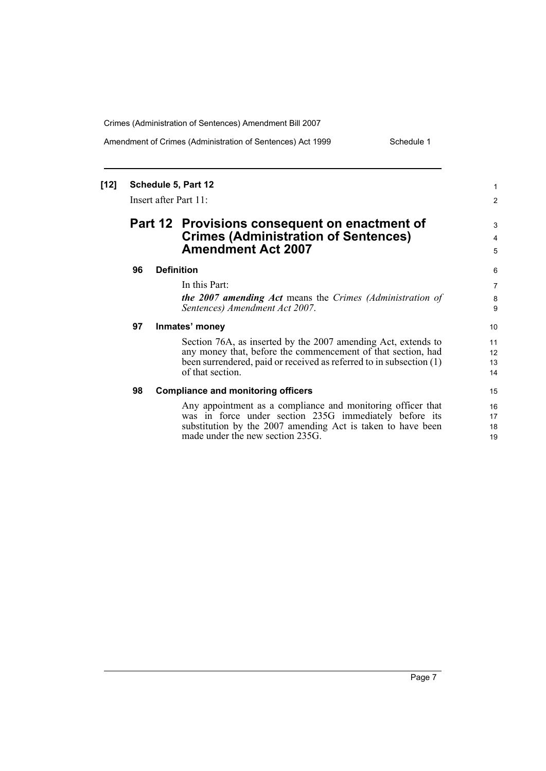Amendment of Crimes (Administration of Sentences) Act 1999 Schedule 1

1 2

3 4 5

#### **[12] Schedule 5, Part 12** Insert after Part 11: **Part 12 Provisions consequent on enactment of Crimes (Administration of Sentences) Amendment Act 2007 96 Definition** In this Part: *the 2007 amending Act* means the *Crimes (Administration of Sentences) Amendment Act 2007*. **97 Inmates' money** Section 76A, as inserted by the 2007 amending Act, extends to any money that, before the commencement of that section, had been surrendered, paid or received as referred to in subsection (1) of that section. **98 Compliance and monitoring officers** Any appointment as a compliance and monitoring officer that was in force under section 235G immediately before its substitution by the 2007 amending Act is taken to have been made under the new section 235G. 10 11 12 13 14 15 16 17 18 19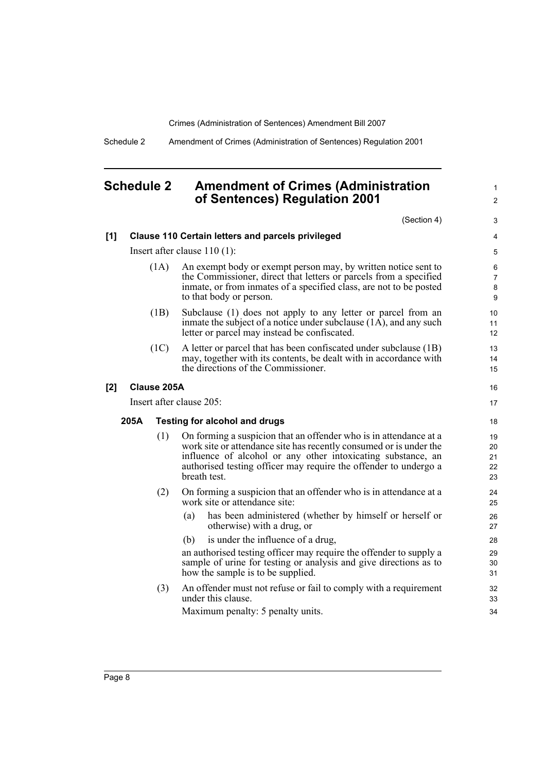1  $\mathfrak{p}$ 

Schedule 2 Amendment of Crimes (Administration of Sentences) Regulation 2001

### <span id="page-15-0"></span>**Schedule 2 Amendment of Crimes (Administration of Sentences) Regulation 2001**

(Section 4) **[1] Clause 110 Certain letters and parcels privileged** Insert after clause 110 (1): (1A) An exempt body or exempt person may, by written notice sent to the Commissioner, direct that letters or parcels from a specified inmate, or from inmates of a specified class, are not to be posted to that body or person. (1B) Subclause (1) does not apply to any letter or parcel from an inmate the subject of a notice under subclause (1A), and any such letter or parcel may instead be confiscated. (1C) A letter or parcel that has been confiscated under subclause (1B) may, together with its contents, be dealt with in accordance with the directions of the Commissioner. **[2] Clause 205A** Insert after clause 205: **205A Testing for alcohol and drugs** (1) On forming a suspicion that an offender who is in attendance at a work site or attendance site has recently consumed or is under the influence of alcohol or any other intoxicating substance, an authorised testing officer may require the offender to undergo a breath test. (2) On forming a suspicion that an offender who is in attendance at a work site or attendance site: (a) has been administered (whether by himself or herself or otherwise) with a drug, or (b) is under the influence of a drug, an authorised testing officer may require the offender to supply a sample of urine for testing or analysis and give directions as to how the sample is to be supplied. (3) An offender must not refuse or fail to comply with a requirement under this clause. Maximum penalty: 5 penalty units. 3 4 5 6 7 8 9 10 11 12 13 14 15 16 17 18 19 20 21 22 23 24 25 26 27 28 29 30 31 32 33 34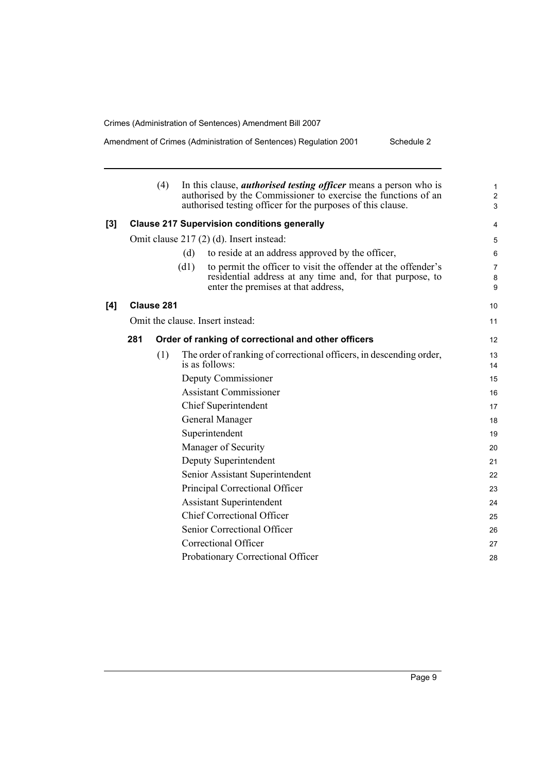**[4] Clause 281**

Amendment of Crimes (Administration of Sentences) Regulation 2001 Schedule 2

|     |     | (4)        | In this clause, <i>authorised testing officer</i> means a person who is<br>authorised by the Commissioner to exercise the functions of an<br>authorised testing officer for the purposes of this clause. |          |
|-----|-----|------------|----------------------------------------------------------------------------------------------------------------------------------------------------------------------------------------------------------|----------|
| [3] |     |            | <b>Clause 217 Supervision conditions generally</b>                                                                                                                                                       |          |
|     |     |            | Omit clause 217 (2) (d). Insert instead:                                                                                                                                                                 |          |
|     |     |            | (d)<br>to reside at an address approved by the officer,                                                                                                                                                  |          |
|     |     |            | (d1)<br>to permit the officer to visit the offender at the offender's<br>residential address at any time and, for that purpose, to<br>enter the premises at that address,                                |          |
| [4] |     | Clause 281 |                                                                                                                                                                                                          | 10       |
|     |     |            | Omit the clause. Insert instead:                                                                                                                                                                         | 11       |
|     | 281 |            | Order of ranking of correctional and other officers                                                                                                                                                      | 12       |
|     |     | (1)        | The order of ranking of correctional officers, in descending order,<br>is as follows:                                                                                                                    | 13<br>14 |
|     |     |            | Deputy Commissioner                                                                                                                                                                                      | 15       |
|     |     |            | <b>Assistant Commissioner</b>                                                                                                                                                                            | 16       |
|     |     |            | Chief Superintendent                                                                                                                                                                                     | 17       |
|     |     |            | General Manager                                                                                                                                                                                          | 18       |
|     |     |            | Superintendent                                                                                                                                                                                           | 19       |
|     |     |            | Manager of Security                                                                                                                                                                                      | 20       |
|     |     |            | Deputy Superintendent                                                                                                                                                                                    | 21       |
|     |     |            | Senior Assistant Superintendent                                                                                                                                                                          | 22       |
|     |     |            | Principal Correctional Officer                                                                                                                                                                           | 23       |
|     |     |            | <b>Assistant Superintendent</b>                                                                                                                                                                          | 24       |
|     |     |            | <b>Chief Correctional Officer</b>                                                                                                                                                                        | 25       |
|     |     |            | Senior Correctional Officer                                                                                                                                                                              | 26       |
|     |     |            | Correctional Officer                                                                                                                                                                                     | 27       |
|     |     |            | Probationary Correctional Officer                                                                                                                                                                        | 28       |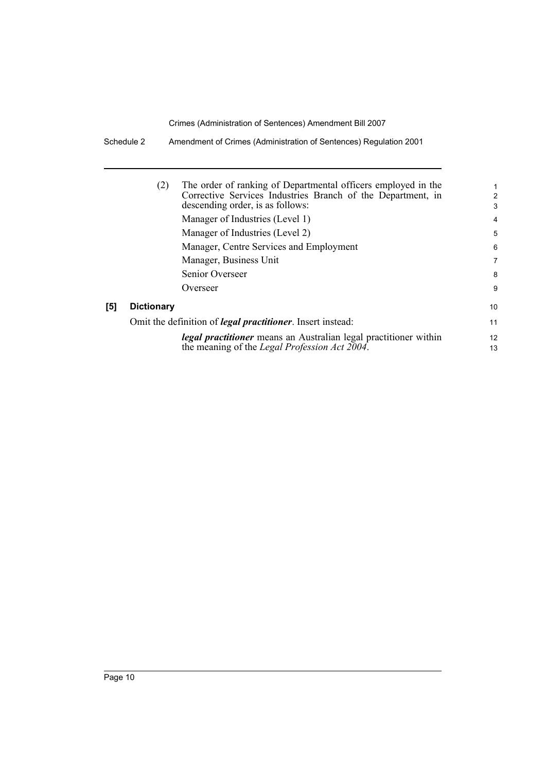Schedule 2 Amendment of Crimes (Administration of Sentences) Regulation 2001

| (2)               | The order of ranking of Departmental officers employed in the<br>Corrective Services Industries Branch of the Department, in<br>descending order, is as follows:<br>Manager of Industries (Level 1) | 2<br>3<br>4             |
|-------------------|-----------------------------------------------------------------------------------------------------------------------------------------------------------------------------------------------------|-------------------------|
|                   | Manager of Industries (Level 2)                                                                                                                                                                     | 5                       |
|                   | Manager, Centre Services and Employment                                                                                                                                                             | 6                       |
|                   | Manager, Business Unit                                                                                                                                                                              | 7                       |
|                   | Senior Overseer                                                                                                                                                                                     | 8                       |
|                   | Overseer                                                                                                                                                                                            | 9                       |
| <b>Dictionary</b> |                                                                                                                                                                                                     | 10                      |
|                   | Omit the definition of <i>legal practitioner</i> . Insert instead:                                                                                                                                  | 11                      |
|                   | <i>legal practitioner</i> means an Australian legal practitioner within<br>the meaning of the <i>Legal Profession Act 2004</i> .                                                                    | $12 \overline{ }$<br>13 |

 $[5]$